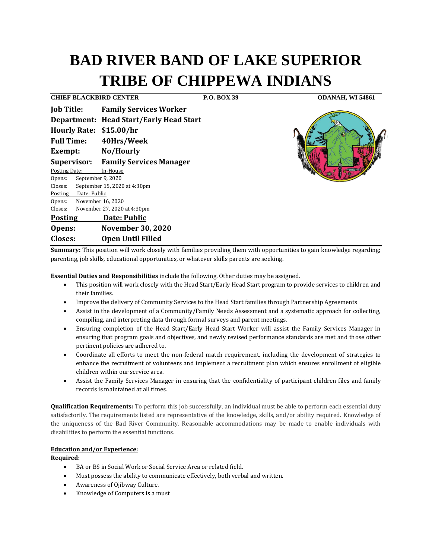# **BAD RIVER BAND OF LAKE SUPERIOR TRIBE OF CHIPPEWA INDIANS**

**CHIEF BLACKBIRD CENTER P.O. BOX 39 ODANAH, WI 54861**

| <b>Job Title:</b>                  |                              | <b>Family Services Worker</b>                  |
|------------------------------------|------------------------------|------------------------------------------------|
|                                    |                              | <b>Department: Head Start/Early Head Start</b> |
| <b>Hourly Rate:</b>                |                              | \$15.00/hr                                     |
| <b>Full Time:</b>                  |                              | 40Hrs/Week                                     |
| Exempt:                            |                              | No/Hourly                                      |
| Supervisor:                        |                              | <b>Family Services Manager</b>                 |
| <b>Posting Date:</b>               |                              | In-House                                       |
| Opens:                             | September 9, 2020            |                                                |
| Closes:                            | September 15, 2020 at 4:30pm |                                                |
|                                    | Posting Date: Public         |                                                |
|                                    | Opens: November 16, 2020     |                                                |
| Closes:                            |                              | November 27, 2020 at 4:30pm                    |
| Date: Public<br><b>Posting</b>     |                              |                                                |
| <b>November 30, 2020</b><br>Opens: |                              |                                                |
| Closes:                            |                              | <b>Open Until Filled</b>                       |



**Summary:** This position will work closely with families providing them with opportunities to gain knowledge regarding; parenting, job skills, educational opportunities, or whatever skills parents are seeking.

**Essential Duties and Responsibilities** include the following. Other duties may be assigned.

- This position will work closely with the Head Start/Early Head Start program to provide services to children and their families.
- Improve the delivery of Community Services to the Head Start families through Partnership Agreements
- Assist in the development of a Community/Family Needs Assessment and a systematic approach for collecting, compiling, and interpreting data through formal surveys and parent meetings.
- Ensuring completion of the Head Start/Early Head Start Worker will assist the Family Services Manager in ensuring that program goals and objectives, and newly revised performance standards are met and those other pertinent policies are adhered to.
- Coordinate all efforts to meet the non-federal match requirement, including the development of strategies to enhance the recruitment of volunteers and implement a recruitment plan which ensures enrollment of eligible children within our service area.
- Assist the Family Services Manager in ensuring that the confidentiality of participant children files and family records is maintained at all times.

**Qualification Requirements:** To perform this job successfully, an individual must be able to perform each essential duty satisfactorily. The requirements listed are representative of the knowledge, skills, and/or ability required. Knowledge of the uniqueness of the Bad River Community. Reasonable accommodations may be made to enable individuals with disabilities to perform the essential functions.

# **Education and/or Experience:**

## **Required:**

- BA or BS in Social Work or Social Service Area or related field.
- Must possess the ability to communicate effectively, both verbal and written.
- Awareness of Ojibway Culture.
- Knowledge of Computers is a must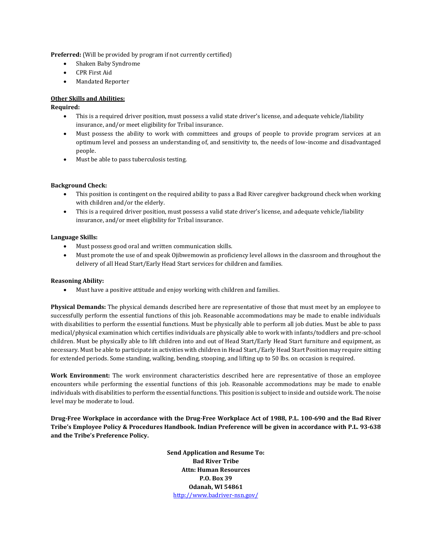**Preferred:** (Will be provided by program if not currently certified)

- Shaken Baby Syndrome
- CPR First Aid
- Mandated Reporter

# **Other Skills and Abilities:**

# **Required:**

- This is a required driver position, must possess a valid state driver's license, and adequate vehicle/liability insurance, and/or meet eligibility for Tribal insurance.
- Must possess the ability to work with committees and groups of people to provide program services at an optimum level and possess an understanding of, and sensitivity to, the needs of low-income and disadvantaged people.
- Must be able to pass tuberculosis testing.

## **Background Check:**

- This position is contingent on the required ability to pass a Bad River caregiver background check when working with children and/or the elderly.
- This is a required driver position, must possess a valid state driver's license, and adequate vehicle/liability insurance, and/or meet eligibility for Tribal insurance.

## **Language Skills:**

- Must possess good oral and written communication skills.
- Must promote the use of and speak Ojibwemowin as proficiency level allows in the classroom and throughout the delivery of all Head Start/Early Head Start services for children and families.

## **Reasoning Ability:**

• Must have a positive attitude and enjoy working with children and families.

**Physical Demands:** The physical demands described here are representative of those that must meet by an employee to successfully perform the essential functions of this job. Reasonable accommodations may be made to enable individuals with disabilities to perform the essential functions. Must be physically able to perform all job duties. Must be able to pass medical/physical examination which certifies individuals are physically able to work with infants/toddlers and pre-school children. Must be physically able to lift children into and out of Head Start/Early Head Start furniture and equipment, as necessary. Must be able to participate in activities with children in Head Start./Early Head Start Position may require sitting for extended periods. Some standing, walking, bending, stooping, and lifting up to 50 lbs. on occasion is required.

**Work Environment:** The work environment characteristics described here are representative of those an employee encounters while performing the essential functions of this job. Reasonable accommodations may be made to enable individuals with disabilities to perform the essential functions. This position is subject to inside and outside work. The noise level may be moderate to loud.

**Drug-Free Workplace in accordance with the Drug-Free Workplace Act of 1988, P.L. 100-690 and the Bad River Tribe's Employee Policy & Procedures Handbook. Indian Preference will be given in accordance with P.L. 93-638 and the Tribe's Preference Policy.** 

> **Send Application and Resume To: Bad River Tribe Attn: Human Resources P.O. Box 39 Odanah, WI 54861** <http://www.badriver-nsn.gov/>